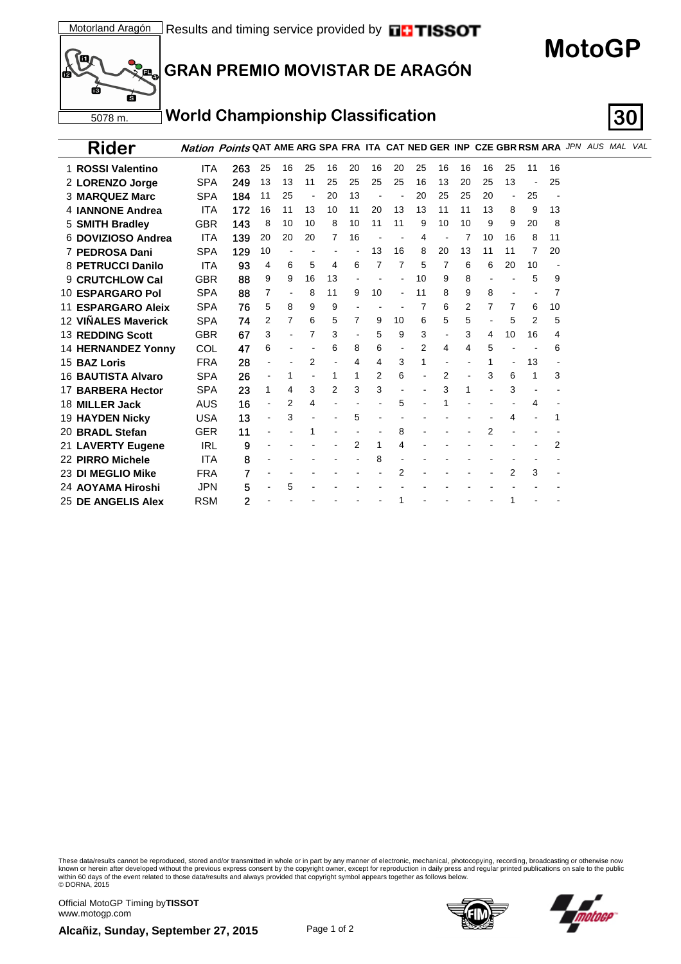**MotoGP**



## **GRAN PREMIO MOVISTAR DE ARAGÓN**

#### **World Championship Classification 30**

| <b>Rider</b>              |            | <b>Nation Points QAT AME ARG SPA FRA ITA CAT NED GER INP CZE GBR RSM ARA JPN AUS MAL VAL</b> |                          |    |    |    |    |    |                |    |    |    |    |                          |    |    |  |  |
|---------------------------|------------|----------------------------------------------------------------------------------------------|--------------------------|----|----|----|----|----|----------------|----|----|----|----|--------------------------|----|----|--|--|
| 1 ROSSI Valentino         | ITA        | 263                                                                                          | 25                       | 16 | 25 | 16 | 20 | 16 | 20             | 25 | 16 | 16 | 16 | 25                       | 11 | 16 |  |  |
| 2 LORENZO Jorge           | <b>SPA</b> | 249                                                                                          | 13                       | 13 | 11 | 25 | 25 | 25 | 25             | 16 | 13 | 20 | 25 | 13                       |    | 25 |  |  |
| <b>3 MARQUEZ Marc</b>     | <b>SPA</b> | 184                                                                                          | 11                       | 25 |    | 20 | 13 |    |                | 20 | 25 | 25 | 20 | $\overline{\phantom{a}}$ | 25 |    |  |  |
| 4 <b>IANNONE</b> Andrea   | ITA        | 172                                                                                          | 16                       | 11 | 13 | 10 | 11 | 20 | 13             | 13 | 11 | 11 | 13 | 8                        | 9  | 13 |  |  |
| 5 SMITH Bradley           | <b>GBR</b> | 143                                                                                          | 8                        | 10 | 10 | 8  | 10 | 11 | 11             | 9  | 10 | 10 | 9  | 9                        | 20 | 8  |  |  |
| 6 DOVIZIOSO Andrea        | <b>ITA</b> | 139                                                                                          | 20                       | 20 | 20 | 7  | 16 |    |                | 4  |    |    | 10 | 16                       | 8  | 11 |  |  |
| 7 PEDROSA Dani            | <b>SPA</b> | 129                                                                                          | 10                       |    |    |    |    | 13 | 16             | 8  | 20 | 13 | 11 | 11                       | 7  | 20 |  |  |
| 8 PETRUCCI Danilo         | <b>ITA</b> | 93                                                                                           | 4                        | 6  | 5  | 4  | 6  | 7  | 7              | 5  | 7  | 6  | 6  | 20                       | 10 |    |  |  |
| <b>9 CRUTCHLOW Cal</b>    | <b>GBR</b> | 88                                                                                           | 9                        | 9  | 16 | 13 |    |    |                | 10 | 9  | 8  |    |                          | 5  | 9  |  |  |
| 10 ESPARGARO Pol          | <b>SPA</b> | 88                                                                                           | 7                        |    | 8  | 11 | 9  | 10 | $\overline{a}$ | 11 | 8  | 9  | 8  |                          |    | 7  |  |  |
| <b>11 ESPARGARO Aleix</b> | <b>SPA</b> | 76                                                                                           | 5                        | 8  | 9  | 9  |    |    |                | 7  | 6  | 2  | 7  | 7                        | 6  | 10 |  |  |
| 12 VIÑALES Maverick       | <b>SPA</b> | 74                                                                                           | 2                        | 7  | 6  | 5  | 7  | 9  | 10             | 6  | 5  | 5  |    | 5                        | 2  | 5  |  |  |
| <b>13 REDDING Scott</b>   | <b>GBR</b> | 67                                                                                           | 3                        |    | 7  | 3  |    | 5  | 9              | 3  |    | 3  | 4  | 10                       | 16 | 4  |  |  |
| <b>14 HERNANDEZ Yonny</b> | COL        | 47                                                                                           | 6                        |    |    | 6  | 8  | 6  |                | 2  | 4  | 4  | 5  |                          |    | 6  |  |  |
| 15 BAZ Loris              | <b>FRA</b> | 28                                                                                           |                          |    | 2  |    | 4  | 4  | 3              | 1  |    |    |    |                          | 13 |    |  |  |
| 16 BAUTISTA Alvaro        | <b>SPA</b> | 26                                                                                           | $\overline{\phantom{a}}$ | 1  |    | 1  | 1  | 2  | 6              |    | 2  |    | 3  | 6                        | 1  | 3  |  |  |
| 17 BARBERA Hector         | <b>SPA</b> | 23                                                                                           | 1                        | 4  | 3  | 2  | 3  | 3  |                |    | 3  |    |    | 3                        |    |    |  |  |
| 18 MILLER Jack            | AUS        | 16                                                                                           |                          | 2  | 4  |    |    |    | 5              |    |    |    |    |                          | 4  |    |  |  |
| <b>19 HAYDEN Nicky</b>    | <b>USA</b> | 13                                                                                           |                          | 3  |    |    | 5  |    |                |    |    |    |    | 4                        |    | 1  |  |  |
| 20 BRADL Stefan           | <b>GER</b> | 11                                                                                           |                          |    |    |    |    |    | 8              |    |    |    | 2  |                          |    |    |  |  |
| 21 LAVERTY Eugene         | <b>IRL</b> | 9                                                                                            |                          |    |    |    | 2  | 1  | 4              |    |    |    |    |                          |    | 2  |  |  |
| 22 PIRRO Michele          | ITA        | 8                                                                                            |                          |    |    |    |    | 8  |                |    |    |    |    |                          |    |    |  |  |
| 23 DI MEGLIO Mike         | <b>FRA</b> | 7                                                                                            |                          |    |    |    |    |    | 2              |    |    |    |    | 2                        | 3  |    |  |  |
| 24 AOYAMA Hiroshi         | <b>JPN</b> | 5                                                                                            |                          | 5  |    |    |    |    |                |    |    |    |    |                          |    |    |  |  |
| <b>25 DE ANGELIS Alex</b> | <b>RSM</b> | 2                                                                                            |                          |    |    |    |    |    |                |    |    |    |    | 1                        |    |    |  |  |

These data/results cannot be reproduced, stored and/or transmitted in whole or in part by any manner of electronic, mechanical, photocopying, recording, broadcasting or otherwise now<br>within 60 days of the event related to

Official MotoGP Timing by **TISSOT**www.motogp.com

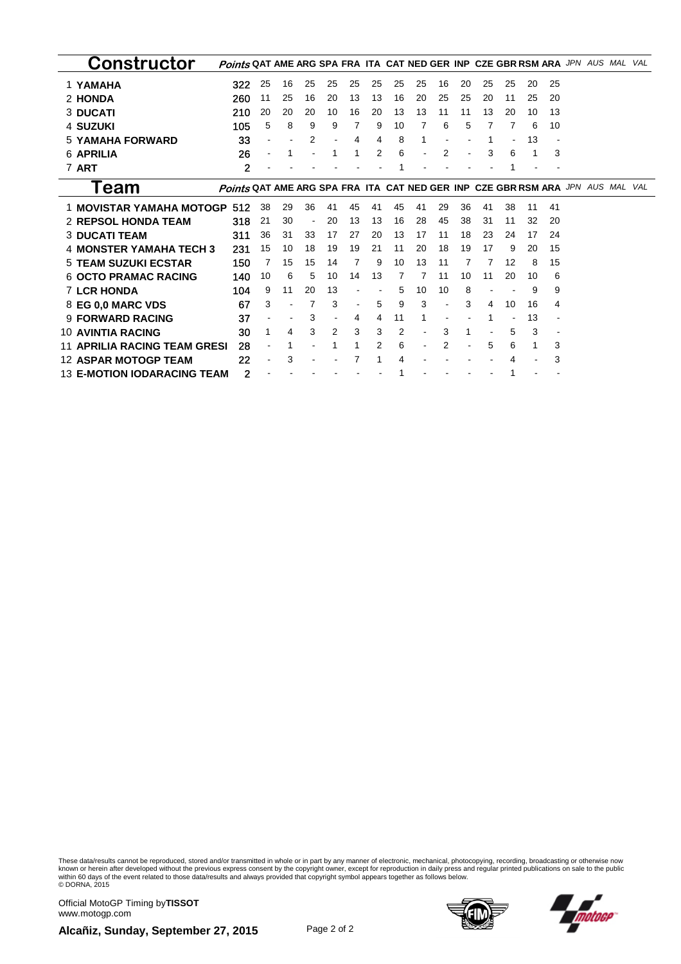| Constructor                        | Points QAT AME ARG SPA FRA ITA CAT NED GER INP CZE GBR RSM ARA JPN AUS MAL     |    |    |    |    |    |    |    |    |    |    |    |    |    |    |  | VAL |
|------------------------------------|--------------------------------------------------------------------------------|----|----|----|----|----|----|----|----|----|----|----|----|----|----|--|-----|
| 1 YAMAHA                           | 322                                                                            | 25 | 16 | 25 | 25 | 25 | 25 | 25 | 25 | 16 | 20 | 25 | 25 | 20 | 25 |  |     |
| 2 HONDA                            | 260                                                                            | 11 | 25 | 16 | 20 | 13 | 13 | 16 | 20 | 25 | 25 | 20 | 11 | 25 | 20 |  |     |
| <b>3 DUCATI</b>                    | 210                                                                            | 20 | 20 | 20 | 10 | 16 | 20 | 13 | 13 | 11 | 11 | 13 | 20 | 10 | 13 |  |     |
| 4 SUZUKI                           | 105                                                                            | 5  | 8  | 9  | 9  | 7  | 9  | 10 | 7  | 6  | 5  |    | 7  | 6  | 10 |  |     |
| <b>5 YAMAHA FORWARD</b>            | 33                                                                             |    |    | 2  |    | 4  | 4  | 8  | 1  |    |    |    |    | 13 |    |  |     |
| <b>6 APRILIA</b>                   | 26                                                                             |    |    |    |    |    | 2  | 6  |    | 2  |    | 3  | 6  |    | 3  |  |     |
| 7 ART                              | $\mathbf{2}$                                                                   |    |    |    |    |    |    |    |    |    |    |    |    |    |    |  |     |
| l eam                              | Points QAT AME ARG SPA FRA ITA CAT NED GER INP CZE GBR RSM ARA JPN AUS MAL VAL |    |    |    |    |    |    |    |    |    |    |    |    |    |    |  |     |
| 1 MOVISTAR YAMAHA MOTOGP 512       |                                                                                | 38 | 29 | 36 | 41 | 45 | 41 | 45 | 41 | 29 | 36 | 41 | 38 | 11 | 41 |  |     |
| <b>2 REPSOL HONDA TEAM</b>         | 318                                                                            | 21 | 30 |    | 20 | 13 | 13 | 16 | 28 | 45 | 38 | 31 | 11 | 32 | 20 |  |     |
| <b>3 DUCATI TEAM</b>               | 311                                                                            | 36 | 31 | 33 | 17 | 27 | 20 | 13 | 17 | 11 | 18 | 23 | 24 | 17 | 24 |  |     |
| <b>4 MONSTER YAMAHA TECH 3</b>     | 231                                                                            | 15 | 10 | 18 | 19 | 19 | 21 | 11 | 20 | 18 | 19 | 17 | 9  | 20 | 15 |  |     |
| <b>5 TEAM SUZUKI ECSTAR</b>        | 150                                                                            | 7  | 15 | 15 | 14 | 7  | 9  | 10 | 13 | 11 | 7  | 7  | 12 | 8  | 15 |  |     |
| <b>6 OCTO PRAMAC RACING</b>        | 140                                                                            | 10 | 6  | 5  | 10 | 14 | 13 | 7  |    | 11 | 10 | 11 | 20 | 10 | 6  |  |     |
| <b>7 LCR HONDA</b>                 | 104                                                                            | 9  | 11 | 20 | 13 |    |    | 5  | 10 | 10 | 8  |    |    | 9  | 9  |  |     |
| 8 EG 0.0 MARC VDS                  | 67                                                                             | 3  |    |    | 3  |    | 5  | 9  | 3  |    | 3  | 4  | 10 | 16 | 4  |  |     |
| <b>9 FORWARD RACING</b>            | 37                                                                             |    |    | 3  |    | 4  | 4  | 11 |    |    |    |    |    | 13 |    |  |     |
| <b>10 AVINTIA RACING</b>           | 30                                                                             | 1  | 4  | 3  | 2  | 3  | 3  | 2  |    | 3  |    |    | 5  | 3  |    |  |     |
| 11 APRILIA RACING TEAM GRESI       | 28                                                                             |    |    |    |    |    | 2  | 6  |    |    |    | 5  | 6  |    | 3  |  |     |
| <b>12 ASPAR MOTOGP TEAM</b>        | 22                                                                             |    | 3  |    |    |    |    | 4  |    |    |    |    | 4  |    | 3  |  |     |
| <b>13 E-MOTION IODARACING TEAM</b> | 2                                                                              |    |    |    |    |    |    |    |    |    |    |    |    |    |    |  |     |

These data/results cannot be reproduced, stored and/or transmitted in whole or in part by any manner of electronic, mechanical, photocopying, recording, broadcasting or otherwise now<br>within 60 days of the event related to

Official MotoGP Timing by **TISSOT**www.motogp.com

**Alcañiz, Sunday, September 27, 2015** Page 2 of 2



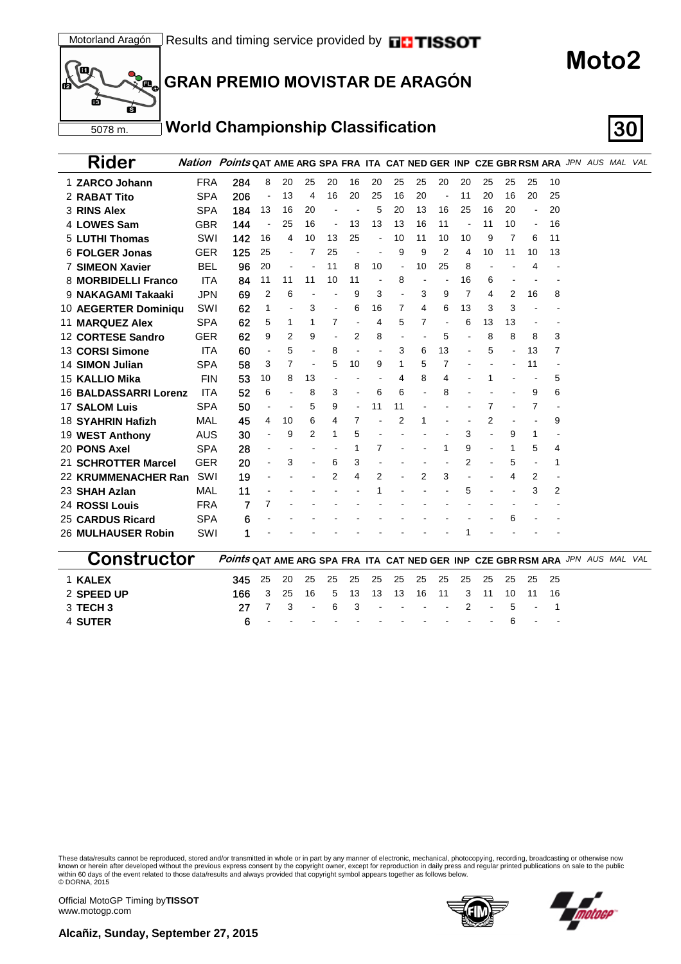

# **GRAN PREMIO MOVISTAR DE ARAGÓN**

### **World Championship Classification 30**

| Rider                  |            | <b>Nation Points QAT AME ARG SPA FRA ITA CAT NED GER INP CZE GBR RSM ARA JPN AUS MAL VAL</b> |                          |    |                |    |    |    |                |    |    |    |    |    |                |    |  |  |
|------------------------|------------|----------------------------------------------------------------------------------------------|--------------------------|----|----------------|----|----|----|----------------|----|----|----|----|----|----------------|----|--|--|
| 1 ZARCO Johann         | <b>FRA</b> | 284                                                                                          | 8                        | 20 | 25             | 20 | 16 | 20 | 25             | 25 | 20 | 20 | 25 | 25 | 25             | 10 |  |  |
| 2 RABAT Tito           | <b>SPA</b> | 206                                                                                          |                          | 13 | 4              | 16 | 20 | 25 | 16             | 20 |    | 11 | 20 | 16 | 20             | 25 |  |  |
| 3 RINS Alex            | <b>SPA</b> | 184                                                                                          | 13                       | 16 | 20             |    |    | 5  | 20             | 13 | 16 | 25 | 16 | 20 | $\blacksquare$ | 20 |  |  |
| 4 LOWES Sam            | <b>GBR</b> | 144                                                                                          | ÷                        | 25 | 16             |    | 13 | 13 | 13             | 16 | 11 |    | 11 | 10 | $\blacksquare$ | 16 |  |  |
| 5 LUTHI Thomas         | SWI        | 142                                                                                          | 16                       | 4  | 10             | 13 | 25 |    | 10             | 11 | 10 | 10 | 9  | 7  | 6              | 11 |  |  |
| 6 FOLGER Jonas         | <b>GER</b> | 125                                                                                          | 25                       |    | 7              | 25 |    |    | 9              | 9  | 2  | 4  | 10 | 11 | 10             | 13 |  |  |
| <b>7 SIMEON Xavier</b> | <b>BEL</b> | 96                                                                                           | 20                       |    |                | 11 | 8  | 10 | $\blacksquare$ | 10 | 25 | 8  |    |    | 4              |    |  |  |
| 8 MORBIDELLI Franco    | <b>ITA</b> | 84                                                                                           | 11                       | 11 | 11             | 10 | 11 |    | 8              |    |    | 16 | 6  |    |                |    |  |  |
| 9 NAKAGAMI Takaaki     | <b>JPN</b> | 69                                                                                           | $\overline{2}$           | 6  |                |    | 9  | 3  |                | 3  | 9  | 7  | 4  | 2  | 16             | 8  |  |  |
| 10 AEGERTER Dominiqu   | SWI        | 62                                                                                           | 1                        |    | 3              |    | 6  | 16 | 7              | 4  | 6  | 13 | 3  | 3  |                |    |  |  |
| <b>11 MARQUEZ Alex</b> | <b>SPA</b> | 62                                                                                           | 5                        | 1  | 1              | 7  |    | 4  | 5              | 7  |    | 6  | 13 | 13 |                |    |  |  |
| 12 CORTESE Sandro      | <b>GER</b> | 62                                                                                           | 9                        | 2  | 9              |    | 2  | 8  |                |    | 5  |    | 8  | 8  | 8              | 3  |  |  |
| 13 CORSI Simone        | <b>ITA</b> | 60                                                                                           | $\blacksquare$           | 5  |                | 8  |    |    | 3              | 6  | 13 |    | 5  |    | 13             | 7  |  |  |
| <b>14 SIMON Julian</b> | <b>SPA</b> | 58                                                                                           | 3                        | 7  | $\blacksquare$ | 5  | 10 | 9  |                | 5  | 7  |    |    |    | 11             |    |  |  |
| 15 KALLIO Mika         | <b>FIN</b> | 53                                                                                           | 10                       | 8  | 13             |    |    |    | 4              | 8  | 4  |    |    |    |                | 5  |  |  |
| 16 BALDASSARRI Lorenz  | <b>ITA</b> | 52                                                                                           | 6                        |    | 8              | 3  |    | 6  | 6              |    | 8  |    |    |    | 9              | 6  |  |  |
| <b>17 SALOM Luis</b>   | <b>SPA</b> | 50                                                                                           | $\overline{\phantom{a}}$ |    | 5              | 9  |    | 11 | 11             |    |    |    | 7  |    | 7              |    |  |  |
| 18 SYAHRIN Hafizh      | MAL        | 45                                                                                           | 4                        | 10 | 6              | 4  | 7  |    | 2              | 1  |    |    | 2  |    |                | 9  |  |  |
| 19 WEST Anthony        | AUS        | 30                                                                                           | ÷                        | 9  | 2              | 1  | 5  |    |                |    |    | 3  |    | 9  | 1              |    |  |  |
| 20 PONS Axel           | <b>SPA</b> | 28                                                                                           |                          |    |                |    |    | 7  |                |    | 1  | 9  |    | 1  | 5              | 4  |  |  |
| 21 SCHROTTER Marcel    | <b>GER</b> | 20                                                                                           |                          | 3  |                | 6  | 3  |    |                |    |    | 2  |    | 5  |                | 1  |  |  |
| 22 KRUMMENACHER Ran    | SWI        | 19                                                                                           |                          |    |                | 2  | 4  | 2  |                | 2  | 3  |    |    | 4  | 2              |    |  |  |
| 23 SHAH Azlan          | MAL        | 11                                                                                           |                          |    |                |    |    |    |                |    |    | 5  |    |    | 3              | 2  |  |  |
| 24 ROSSI Louis         | <b>FRA</b> | 7                                                                                            | 7                        |    |                |    |    |    |                |    |    |    |    |    |                |    |  |  |
| 25 CARDUS Ricard       | <b>SPA</b> | 6                                                                                            |                          |    |                |    |    |    |                |    |    |    |    | 6  |                |    |  |  |
| 26 MULHAUSER Robin     | SWI        | 1                                                                                            |                          |    |                |    |    |    |                |    |    |    |    |    |                |    |  |  |
|                        |            |                                                                                              |                          |    |                |    |    |    |                |    |    |    |    |    |                |    |  |  |

| <b>CONSTRUCTOR</b> Points QAT AME ARG SPA FRA ITA CAT NED GER INP CZE GBR RSM ARA JPN AUS MAL VAL |                                                         |  |  |  |  |  |  |                                     |  |  |
|---------------------------------------------------------------------------------------------------|---------------------------------------------------------|--|--|--|--|--|--|-------------------------------------|--|--|
| <b>1 KALEX</b>                                                                                    | <b>345</b> 25 20 25 25 25 25 25 25 25 25 25 25 25 25 25 |  |  |  |  |  |  |                                     |  |  |
| 2 SPEED UP                                                                                        | <b>166</b> 3 25 16 5 13 13 13 16 11 3 11 10 11 16       |  |  |  |  |  |  |                                     |  |  |
| 3 TECH 3                                                                                          |                                                         |  |  |  |  |  |  | 27 7 3 - 6 3 - - - - 2 - 5 - 1      |  |  |
| 4 SUTER                                                                                           |                                                         |  |  |  |  |  |  | $6 - - - - - - - - - - - - 6 - - -$ |  |  |

These data/results cannot be reproduced, stored and/or transmitted in whole or in part by any manner of electronic, mechanical, photocopying, recording, broadcasting or otherwise now<br>known or herein after developed without © DORNA, 2015





**Moto2**

Official MotoGP Timing by **TISSOT**www.motogp.com

**Alcañiz, Sunday, September 27, 2015**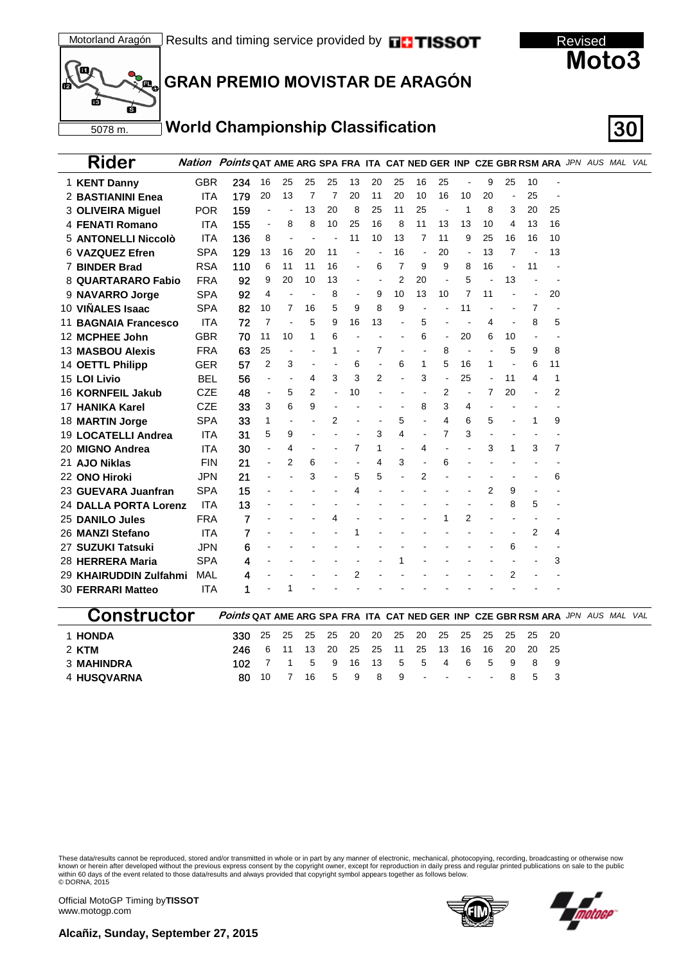



# **GRAN PREMIO MOVISTAR DE ARAGÓN**

### **World Championship Classification 30**

| Rider                       |            | Nation Points QAT AME ARG SPA FRA ITA CAT NED GER INP CZE GBR RSM ARA JPN AUS MAL VAL |                          |    |    |    |    |    |                          |                          |                |                          |    |                          |    |    |  |  |
|-----------------------------|------------|---------------------------------------------------------------------------------------|--------------------------|----|----|----|----|----|--------------------------|--------------------------|----------------|--------------------------|----|--------------------------|----|----|--|--|
| 1 KENT Danny                | <b>GBR</b> | 234                                                                                   | 16                       | 25 | 25 | 25 | 13 | 20 | 25                       | 16                       | 25             | $\overline{\phantom{a}}$ | 9  | 25                       | 10 |    |  |  |
| 2 BASTIANINI Enea           | <b>ITA</b> | 179                                                                                   | 20                       | 13 | 7  | 7  | 20 | 11 | 20                       | 10                       | 16             | 10                       | 20 | $\overline{\phantom{a}}$ | 25 |    |  |  |
| 3 OLIVEIRA Miguel           | <b>POR</b> | 159                                                                                   |                          |    | 13 | 20 | 8  | 25 | 11                       | 25                       |                | 1                        | 8  | 3                        | 20 | 25 |  |  |
| 4 FENATI Romano             | <b>ITA</b> | 155                                                                                   | $\overline{\phantom{a}}$ | 8  | 8  | 10 | 25 | 16 | 8                        | 11                       | 13             | 13                       | 10 | 4                        | 13 | 16 |  |  |
| 5 ANTONELLI Niccolò         | ITA        | 136                                                                                   | 8                        |    |    |    | 11 | 10 | 13                       | 7                        | 11             | 9                        | 25 | 16                       | 16 | 10 |  |  |
| 6 VAZQUEZ Efren             | <b>SPA</b> | 129                                                                                   | 13                       | 16 | 20 | 11 |    |    | 16                       | $\overline{\phantom{a}}$ | 20             |                          | 13 | 7                        |    | 13 |  |  |
| <b>7 BINDER Brad</b>        | <b>RSA</b> | 110                                                                                   | 6                        | 11 | 11 | 16 |    | 6  | 7                        | 9                        | 9              | 8                        | 16 |                          | 11 |    |  |  |
| 8 QUARTARARO Fabio          | <b>FRA</b> | 92                                                                                    | 9                        | 20 | 10 | 13 |    |    | 2                        | 20                       |                | 5                        |    | 13                       |    |    |  |  |
| 9 NAVARRO Jorge             | <b>SPA</b> | 92                                                                                    | 4                        |    |    | 8  |    | 9  | 10                       | 13                       | 10             | 7                        | 11 |                          |    | 20 |  |  |
| 10 VIÑALES Isaac            | <b>SPA</b> | 82                                                                                    | 10                       | 7  | 16 | 5  | 9  | 8  | 9                        |                          |                | 11                       |    |                          | 7  |    |  |  |
| <b>11 BAGNAIA Francesco</b> | <b>ITA</b> | 72                                                                                    | 7                        |    | 5  | 9  | 16 | 13 |                          | 5                        |                |                          | 4  |                          | 8  | 5  |  |  |
| 12 MCPHEE John              | <b>GBR</b> | 70                                                                                    | 11                       | 10 | 1  | 6  |    |    |                          | 6                        | $\overline{a}$ | 20                       | 6  | 10                       |    |    |  |  |
| <b>13 MASBOU Alexis</b>     | <b>FRA</b> | 63                                                                                    | 25                       |    |    |    |    | 7  |                          |                          | 8              | $\overline{\phantom{a}}$ |    | 5                        | 9  | 8  |  |  |
| 14 OETTL Philipp            | GER        | 57                                                                                    | $\overline{2}$           | 3  |    |    | 6  |    | 6                        | 1                        | 5              | 16                       | 1  |                          | 6  | 11 |  |  |
| 15 LOI Livio                | <b>BEL</b> | 56                                                                                    | $\overline{a}$           |    | 4  | 3  | 3  | 2  |                          | 3                        |                | 25                       |    | 11                       | 4  | 1  |  |  |
| 16 KORNFEIL Jakub           | <b>CZE</b> | 48                                                                                    | $\blacksquare$           | 5  | 2  |    | 10 |    |                          |                          | 2              |                          | 7  | 20                       |    | 2  |  |  |
| 17 HANIKA Karel             | <b>CZE</b> | 33                                                                                    | 3                        | 6  | 9  |    |    |    |                          | 8                        | 3              | 4                        |    |                          |    |    |  |  |
| 18 MARTIN Jorge             | <b>SPA</b> | 33                                                                                    | 1                        |    |    | 2  |    |    | 5                        |                          | 4              | 6                        | 5  |                          | 1  | 9  |  |  |
| 19 LOCATELLI Andrea         | <b>ITA</b> | 31                                                                                    | 5                        | 9  |    |    |    | 3  | 4                        |                          | 7              | 3                        |    |                          |    |    |  |  |
| 20 MIGNO Andrea             | <b>ITA</b> | 30                                                                                    |                          | 4  |    |    | 7  | 1  | $\overline{\phantom{a}}$ | 4                        |                |                          | 3  | 1                        | 3  | 7  |  |  |
| 21 AJO Niklas               | <b>FIN</b> | 21                                                                                    | $\overline{a}$           | 2  | 6  |    |    | 4  | 3                        |                          | 6              |                          |    |                          |    |    |  |  |
| 22 ONO Hiroki               | <b>JPN</b> | 21                                                                                    |                          |    | 3  |    | 5  | 5  |                          | 2                        |                |                          |    |                          |    | 6  |  |  |
| 23 GUEVARA Juanfran         | <b>SPA</b> | 15                                                                                    |                          |    |    |    | 4  |    |                          |                          |                |                          | 2  | 9                        |    |    |  |  |
| 24 DALLA PORTA Lorenz       | <b>ITA</b> | 13                                                                                    |                          |    |    |    |    |    |                          |                          |                |                          |    | 8                        | 5  |    |  |  |
| 25 DANILO Jules             | <b>FRA</b> | 7                                                                                     |                          |    |    |    |    |    |                          |                          |                | 2                        |    |                          |    |    |  |  |
| 26 MANZI Stefano            | <b>ITA</b> | 7                                                                                     |                          |    |    |    |    |    |                          |                          |                |                          |    |                          | 2  | 4  |  |  |
| 27 SUZUKI Tatsuki           | <b>JPN</b> | 6                                                                                     |                          |    |    |    |    |    |                          |                          |                |                          |    | 6                        |    |    |  |  |
| 28 HERRERA Maria            | <b>SPA</b> | 4                                                                                     |                          |    |    |    |    |    |                          |                          |                |                          |    |                          |    | 3  |  |  |
| 29 KHAIRUDDIN Zulfahmi      | MAL        | 4                                                                                     |                          |    |    |    | 2  |    |                          |                          |                |                          |    | 2                        |    |    |  |  |
| 30 FERRARI Matteo           | <b>ITA</b> | 1                                                                                     |                          |    |    |    |    |    |                          |                          |                |                          |    |                          |    |    |  |  |

| <b>CONSTRUCTOR</b> POINTS QAT AME ARG SPA FRA ITA CAT NED GER INP CZE GBR RSM ARA JPN AUS MAL VAL |                                               |  |  |  |  |  |                                   |  |  |  |
|---------------------------------------------------------------------------------------------------|-----------------------------------------------|--|--|--|--|--|-----------------------------------|--|--|--|
| <b>1 HONDA</b>                                                                                    | 330 25 25 25 25 20 20 25 20 25 25 25 25 25 26 |  |  |  |  |  |                                   |  |  |  |
| 2 KTM                                                                                             | 246 6 11 13 20 25 25 11 25 13 16 16 20 20 25  |  |  |  |  |  |                                   |  |  |  |
| <b>3 MAHINDRA</b>                                                                                 |                                               |  |  |  |  |  | 102 7 1 5 9 16 13 5 5 4 6 5 9 8 9 |  |  |  |
| 4 HUSQVARNA                                                                                       |                                               |  |  |  |  |  | 80 10 7 16 5 9 8 9 - - - - 8 5 3  |  |  |  |

These data/results cannot be reproduced, stored and/or transmitted in whole or in part by any manner of electronic, mechanical, photocopying, recording, broadcasting or otherwise now<br>known or herein after developed without © DORNA, 2015